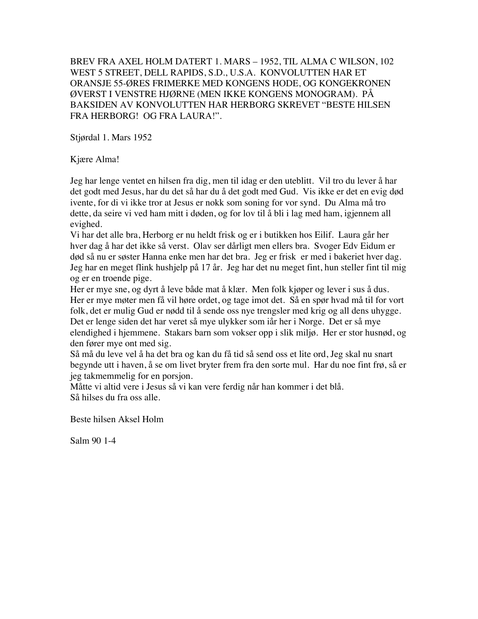BREV FRA AXEL HOLM DATERT 1. MARS – 1952, TIL ALMA C WILSON, 102 WEST 5 STREET, DELL RAPIDS, S.D., U.S.A. KONVOLUTTEN HAR ET ORANSJE 55-ØRES FRIMERKE MED KONGENS HODE, OG KONGEKRONEN ØVERST I VENSTRE HJØRNE (MEN IKKE KONGENS MONOGRAM). PÅ BAKSIDEN AV KONVOLUTTEN HAR HERBORG SKREVET "BESTE HILSEN FRA HERBORG! OG FRA LAURA!".

Stjørdal 1. Mars 1952

Kjære Alma!

Jeg har lenge ventet en hilsen fra dig, men til idag er den uteblitt. Vil tro du lever å har det godt med Jesus, har du det så har du å det godt med Gud. Vis ikke er det en evig død ivente, for di vi ikke tror at Jesus er nokk som soning for vor synd. Du Alma må tro dette, da seire vi ved ham mitt i døden, og for lov til å bli i lag med ham, igjennem all evighed.

Vi har det alle bra, Herborg er nu heldt frisk og er i butikken hos Eilif. Laura går her hver dag å har det ikke så verst. Olav ser dårligt men ellers bra. Svoger Edv Eidum er død så nu er søster Hanna enke men har det bra. Jeg er frisk er med i bakeriet hver dag. Jeg har en meget flink hushjelp på 17 år. Jeg har det nu meget fint, hun steller fint til mig og er en troende pige.

Her er mye sne, og dyrt å leve både mat å klær. Men folk kjøper og lever i sus å dus. Her er mye møter men få vil høre ordet, og tage imot det. Så en spør hvad må til for vort folk, det er mulig Gud er nødd til å sende oss nye trengsler med krig og all dens uhygge. Det er lenge siden det har veret så mye ulykker som iår her i Norge. Det er så mye elendighed i hjemmene. Stakars barn som vokser opp i slik miljø. Her er stor husnød, og den fører mye ont med sig.

Så må du leve vel å ha det bra og kan du få tid så send oss et lite ord, Jeg skal nu snart begynde utt i haven, å se om livet bryter frem fra den sorte mul. Har du noe fint frø, så er jeg takmemmelig for en porsjon.

Måtte vi altid vere i Jesus så vi kan vere ferdig når han kommer i det blå. Så hilses du fra oss alle.

Beste hilsen Aksel Holm

Salm 90 1-4